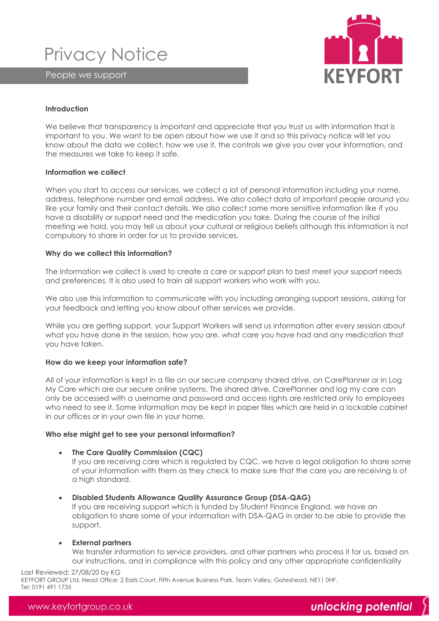Privacy Notice

People we support



# **Introduction**

We believe that transparency is important and appreciate that you trust us with information that is important to you. We want to be open about how we use it and so this privacy notice will let you know about the data we collect, how we use it, the controls we give you over your information, and the measures we take to keep it safe.

#### **Information we collect**

When you start to access our services, we collect a lot of personal information including your name, address, telephone number and email address. We also collect data of important people around you like your family and their contact details. We also collect some more sensitive information like if you have a disability or support need and the medication you take. During the course of the initial meeting we hold, you may tell us about your cultural or religious beliefs although this information is not compulsory to share in order for us to provide services.

# **Why do we collect this information?**

The information we collect is used to create a care or support plan to best meet your support needs and preferences. It is also used to train all support workers who work with you.

We also use this information to communicate with you including arranging support sessions, asking for your feedback and letting you know about other services we provide.

While you are getting support, your Support Workers will send us information after every session about what you have done in the session, how you are, what care you have had and any medication that you have taken.

# **How do we keep your information safe?**

All of your information is kept in a file on our secure company shared drive, on CarePlanner or in Log My Care which are our secure online systems. The shared drive, CarePlanner and log my care can only be accessed with a username and password and access rights are restricted only to employees who need to see it. Some information may be kept in paper files which are held in a lockable cabinet in our offices or in your own file in your home.

# **Who else might get to see your personal information?**

• **The Care Quality Commission (CQC)**

If you are receiving care which is regulated by CQC, we have a legal obligation to share some of your information with them as they check to make sure that the care you are receiving is of a high standard.

• **Disabled Students Allowance Quality Assurance Group (DSA-QAG)**

If you are receiving support which is funded by Student Finance England, we have an obligation to share some of your information with DSA-QAG in order to be able to provide the support.

# • **External partners**

We transfer information to service providers, and other partners who process it for us, based on our instructions, and in compliance with this policy and any other appropriate confidentiality

#### Last Reviewed: 27/08/20 by KG

KEYFORT GROUP Ltd. Head Office: 2 Earls Court, Fifth Avenue Business Park, Team Valley, Gateshead. NE11 0HF.<br>Tel: 0191 491 1735 Tel: 0191 491 1735

# www.keyfortgroup.co.uk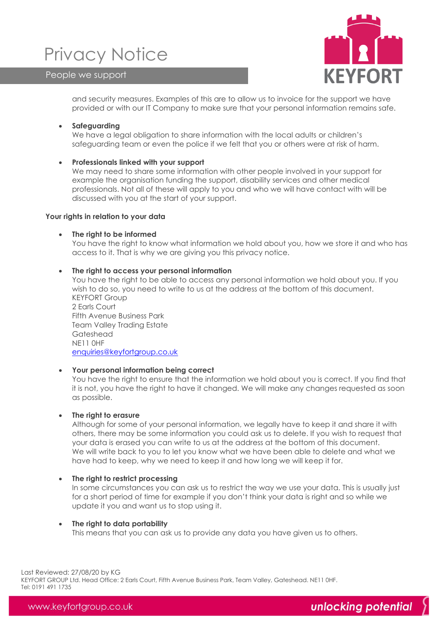# Privacy Notice

People we support



and security measures. Examples of this are to allow us to invoice for the support we have provided or with our IT Company to make sure that your personal information remains safe.

# • **Safeguarding**

We have a legal obligation to share information with the local adults or children's safeguarding team or even the police if we felt that you or others were at risk of harm.

# • **Professionals linked with your support**

We may need to share some information with other people involved in your support for example the organisation funding the support, disability services and other medical professionals. Not all of these will apply to you and who we will have contact with will be discussed with you at the start of your support.

# **Your rights in relation to your data**

#### • **The right to be informed**

You have the right to know what information we hold about you, how we store it and who has access to it. That is why we are giving you this privacy notice.

#### • **The right to access your personal information**

You have the right to be able to access any personal information we hold about you. If you wish to do so, you need to write to us at the address at the bottom of this document. KEYFORT Group 2 Earls Court

Fifth Avenue Business Park Team Valley Trading Estate Gateshead NE11 0HF [enquiries@keyfortgroup.co.uk](mailto:enquiries@keyfortgroup.co.uk)

# • **Your personal information being correct**

You have the right to ensure that the information we hold about you is correct. If you find that it is not, you have the right to have it changed. We will make any changes requested as soon as possible.

# • **The right to erasure**

Although for some of your personal information, we legally have to keep it and share it with others, there may be some information you could ask us to delete. If you wish to request that your data is erased you can write to us at the address at the bottom of this document. We will write back to you to let you know what we have been able to delete and what we have had to keep, why we need to keep it and how long we will keep it for.

# • **The right to restrict processing**

In some circumstances you can ask us to restrict the way we use your data. This is usually just for a short period of time for example if you don't think your data is right and so while we update it you and want us to stop using it.

#### • **The right to data portability**

This means that you can ask us to provide any data you have given us to others.

KEYFORT GROUP Ltd. Head Office: 2 Earls Court, Fifth Avenue Business Park, Team Valley, Gateshead. NE11 0HF.<br>Tel: 0191 491 1735 Last Reviewed: 27/08/20 by KG Tel: 0191 491 1735